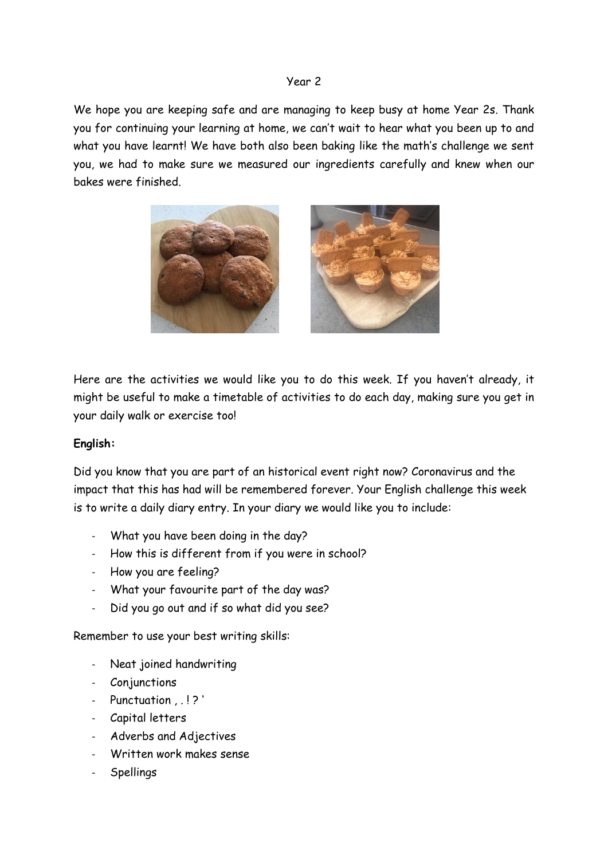#### Year 2

We hope you are keeping safe and are managing to keep busy at home Year 2s. Thank you for continuing your learning at home, we can't wait to hear what you been up to and what you have learnt! We have both also been baking like the math's challenge we sent you, we had to make sure we measured our ingredients carefully and knew when our bakes were finished.



Here are the activities we would like you to do this week. If you haven't already, it might be useful to make a timetable of activities to do each day, making sure you get in your daily walk or exercise too!

### **English:**

Did you know that you are part of an historical event right now? Coronavirus and the impact that this has had will be remembered forever. Your English challenge this week is to write a daily diary entry. In your diary we would like you to include:

- What you have been doing in the day?
- How this is different from if you were in school?
- How you are feeling?
- What your favourite part of the day was?
- Did you go out and if so what did you see?

Remember to use your best writing skills:

- Neat joined handwriting
- **Conjunctions**
- Punctuation . . !?'
- Capital letters
- Adverbs and Adjectives
- Written work makes sense
- **Spellings**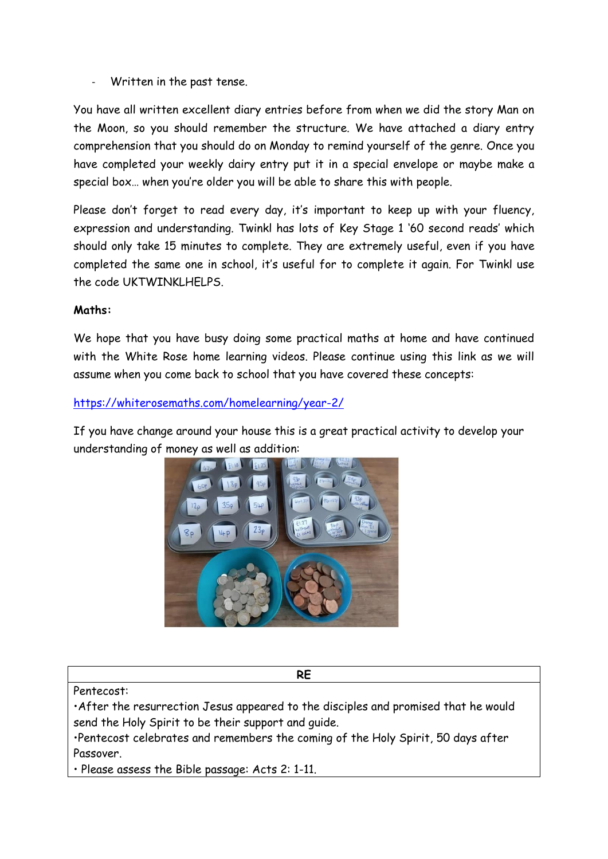Written in the past tense.

You have all written excellent diary entries before from when we did the story Man on the Moon, so you should remember the structure. We have attached a diary entry comprehension that you should do on Monday to remind yourself of the genre. Once you have completed your weekly dairy entry put it in a special envelope or maybe make a special box… when you're older you will be able to share this with people.

Please don't forget to read every day, it's important to keep up with your fluency, expression and understanding. Twinkl has lots of Key Stage 1 '60 second reads' which should only take 15 minutes to complete. They are extremely useful, even if you have completed the same one in school, it's useful for to complete it again. For Twinkl use the code UKTWINKLHELPS.

### **Maths:**

We hope that you have busy doing some practical maths at home and have continued with the White Rose home learning videos. Please continue using this link as we will assume when you come back to school that you have covered these concepts:

### <https://whiterosemaths.com/homelearning/year-2/>

If you have change around your house this is a great practical activity to develop your understanding of money as well as addition:



Pentecost:

•After the resurrection Jesus appeared to the disciples and promised that he would send the Holy Spirit to be their support and guide.

**RE**

•Pentecost celebrates and remembers the coming of the Holy Spirit, 50 days after Passover.

• Please assess the Bible passage: Acts 2: 1-11.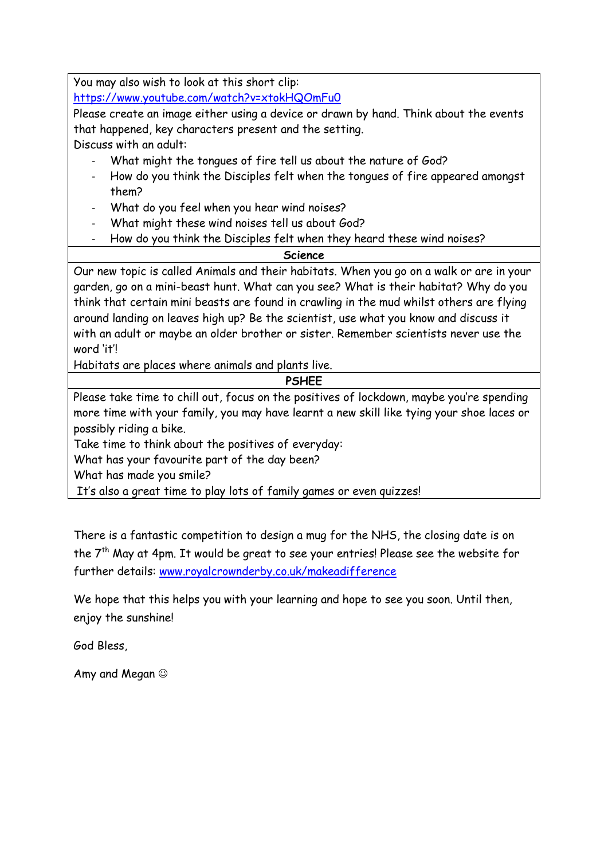You may also wish to look at this short clip:

<https://www.youtube.com/watch?v=xtokHQOmFu0>

Please create an image either using a device or drawn by hand. Think about the events that happened, key characters present and the setting.

Discuss with an adult:

- What might the tongues of fire tell us about the nature of God?
- How do you think the Disciples felt when the tongues of fire appeared amongst them?
- What do you feel when you hear wind noises?
- What might these wind noises tell us about God?
- How do you think the Disciples felt when they heard these wind noises?

**Science**

Our new topic is called Animals and their habitats. When you go on a walk or are in your garden, go on a mini-beast hunt. What can you see? What is their habitat? Why do you think that certain mini beasts are found in crawling in the mud whilst others are flying around landing on leaves high up? Be the scientist, use what you know and discuss it with an adult or maybe an older brother or sister. Remember scientists never use the word 'it'!

Habitats are places where animals and plants live.

**PSHEE**

Please take time to chill out, focus on the positives of lockdown, maybe you're spending more time with your family, you may have learnt a new skill like tying your shoe laces or possibly riding a bike.

Take time to think about the positives of everyday:

What has your favourite part of the day been?

What has made you smile?

It's also a great time to play lots of family games or even quizzes!

There is a fantastic competition to design a mug for the NHS, the closing date is on the 7<sup>th</sup> May at 4pm. It would be great to see your entries! Please see the website for further details: [www.royalcrownderby.co.uk/makeadifference](http://www.royalcrownderby.co.uk/makeadifference)

We hope that this helps you with your learning and hope to see you soon. Until then, enjoy the sunshine!

God Bless,

Amy and Megan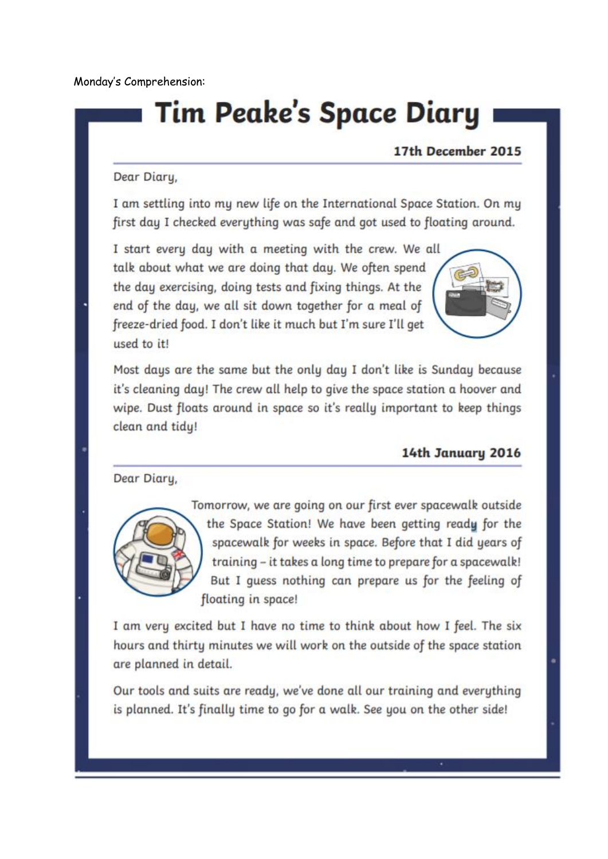Monday's Comprehension:

# **Tim Peake's Space Diary**

### 17th December 2015

### Dear Diary,

I am settling into my new life on the International Space Station. On my first day I checked everything was safe and got used to floating around.

I start every day with a meeting with the crew. We all talk about what we are doing that day. We often spend the day exercising, doing tests and fixing things. At the end of the day, we all sit down together for a meal of freeze-dried food. I don't like it much but I'm sure I'll get used to it!



Most days are the same but the only day I don't like is Sunday because it's cleaning day! The crew all help to give the space station a hoover and wipe. Dust floats around in space so it's really important to keep things clean and tidy!

### 14th January 2016

Dear Diary,



Tomorrow, we are going on our first ever spacewalk outside the Space Station! We have been getting ready for the spacewalk for weeks in space. Before that I did years of training - it takes a long time to prepare for a spacewalk! But I quess nothing can prepare us for the feeling of floating in space!

I am very excited but I have no time to think about how I feel. The six hours and thirty minutes we will work on the outside of the space station are planned in detail.

Our tools and suits are ready, we've done all our training and everything is planned. It's finally time to go for a walk. See you on the other side!